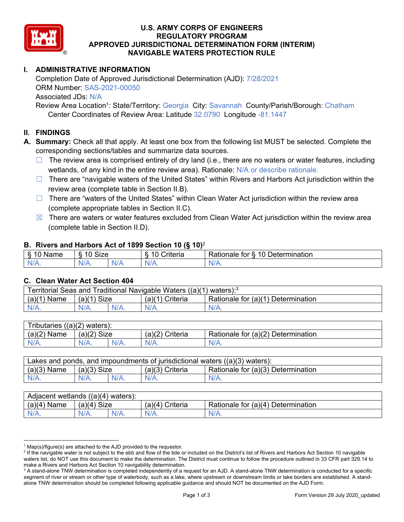

# **U.S. ARMY CORPS OF ENGINEERS REGULATORY PROGRAM APPROVED JURISDICTIONAL DETERMINATION FORM (INTERIM) NAVIGABLE WATERS PROTECTION RULE**

# **I. ADMINISTRATIVE INFORMATION**

 Completion Date of Approved Jurisdictional Determination (AJD): 7/28/2021 Associated JDs: N/A ORM Number: SAS-2021-00050

Review Area Location<sup>1</sup>: State/Territory: Georgia City: Savannah County/Parish/Borough: Chatham Center Coordinates of Review Area: Latitude 32.0790 Longitude -81.1447

### **II. FINDINGS**

**A. Summary:** Check all that apply. At least one box from the following list MUST be selected. Complete the corresponding sections/tables and summarize data sources.

- $\Box$  The review area is comprised entirely of dry land (i.e., there are no waters or water features, including wetlands, of any kind in the entire review area). Rationale: N/A or describe rationale.
- □ There are "navigable waters of the United States" within Rivers and Harbors Act jurisdiction within the review area (complete table in Section II.B).
- □ There are "waters of the United States" within Clean Water Act jurisdiction within the review area (complete appropriate tables in Section II.C).
- $\boxtimes$  There are waters or water features excluded from Clean Water Act jurisdiction within the review area (complete table in Section II.D).

#### **B. Rivers and Harbors Act of 1899 Section 10 (§ 10)**<sup>2</sup>

| $\sqrt{2}$<br>ıme<br>Ő<br> | 10<br><b>Size</b><br>U |     | $\sim$<br>. .<br>-<br>:riteria<br>ונסוום | -<br>10<br>-<br>Determination<br>tor<br>≺atıonale |
|----------------------------|------------------------|-----|------------------------------------------|---------------------------------------------------|
| N/L                        |                        | NZ. | w                                        | м.<br>$\mathbf{v}$                                |

#### **C. Clean Water Act Section 404**

| Territorial Seas and Traditional Navigable Waters $((a)(1)$ waters): <sup>3</sup> |               |  |                 |                                    |  |
|-----------------------------------------------------------------------------------|---------------|--|-----------------|------------------------------------|--|
| $(a)(1)$ Name                                                                     | $(a)(1)$ Size |  | (a)(1) Criteria | Rationale for (a)(1) Determination |  |
| $N/A$ .                                                                           | $N/A$ .       |  | $N/A$ .         | $N/A$ .                            |  |
|                                                                                   |               |  |                 |                                    |  |

| Tributaries $((a)(2)$ waters): |               |         |                 |                                    |  |  |
|--------------------------------|---------------|---------|-----------------|------------------------------------|--|--|
| $(a)(2)$ Name                  | $(a)(2)$ Size |         | (a)(2) Criteria | Rationale for (a)(2) Determination |  |  |
| $N/A$ .                        | $N/A$ .       | $N/A$ . | $N/A$ .         | $N/A$ .                            |  |  |
|                                |               |         |                 |                                    |  |  |

| $(a)(3)$ Name<br>Rationale for (a)(3) Determination<br>$(a)(3)$ Size<br>$(a)(3)$ Criteria |  |
|-------------------------------------------------------------------------------------------|--|
|                                                                                           |  |
| $N/A$ .<br>$N/A$ .<br>$N/A$ .<br>$N/A$ .<br>$N/A$ .                                       |  |

| $(a)(4)$ Name<br>$(a)(4)$ Criteria<br>Rationale for (a)(4) Determination<br>(a)(4)<br>Size<br>$N/A$ .<br>$N/A$ .<br>$N/A$ . | Adjacent wetlands $((a)(4)$ waters): |  |  |  |  |  |
|-----------------------------------------------------------------------------------------------------------------------------|--------------------------------------|--|--|--|--|--|
|                                                                                                                             |                                      |  |  |  |  |  |
|                                                                                                                             |                                      |  |  |  |  |  |

 $1$  Map(s)/figure(s) are attached to the AJD provided to the requestor.

<sup>&</sup>lt;sup>2</sup> If the navigable water is not subject to the ebb and flow of the tide or included on the District's list of Rivers and Harbors Act Section 10 navigable waters list, do NOT use this document to make the determination. The District must continue to follow the procedure outlined in 33 CFR part 329.14 to make a Rivers and Harbors Act Section 10 navigability determination.

 $^3$  A stand-alone TNW determination is completed independently of a request for an AJD. A stand-alone TNW determination is conducted for a specific segment of river or stream or other type of waterbody, such as a lake, where upstream or downstream limits or lake borders are established. A standalone TNW determination should be completed following applicable guidance and should NOT be documented on the AJD Form.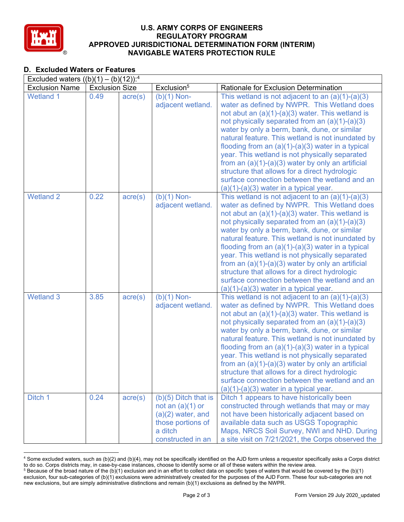

### **U.S. ARMY CORPS OF ENGINEERS REGULATORY PROGRAM APPROVED JURISDICTIONAL DETERMINATION FORM (INTERIM) NAVIGABLE WATERS PROTECTION RULE**

# **D. Excluded Waters or Features**

| Excluded waters $((b)(1) - (b)(12))$ : <sup>4</sup> |                       |                  |                                                                                                                          |                                                                                                                                                                                                                                                                                                                                                                                                                                                                                                                                                                                                                                |
|-----------------------------------------------------|-----------------------|------------------|--------------------------------------------------------------------------------------------------------------------------|--------------------------------------------------------------------------------------------------------------------------------------------------------------------------------------------------------------------------------------------------------------------------------------------------------------------------------------------------------------------------------------------------------------------------------------------------------------------------------------------------------------------------------------------------------------------------------------------------------------------------------|
| <b>Exclusion Name</b>                               | <b>Exclusion Size</b> |                  | Exclusion <sup>5</sup>                                                                                                   | Rationale for Exclusion Determination                                                                                                                                                                                                                                                                                                                                                                                                                                                                                                                                                                                          |
| <b>Wetland 1</b>                                    | 0.49                  | $\text{acre}(s)$ | $(b)(1)$ Non-<br>adjacent wetland.                                                                                       | This wetland is not adjacent to an $(a)(1)-(a)(3)$<br>water as defined by NWPR. This Wetland does<br>not abut an $(a)(1)-(a)(3)$ water. This wetland is<br>not physically separated from an $(a)(1)-(a)(3)$<br>water by only a berm, bank, dune, or similar<br>natural feature. This wetland is not inundated by<br>flooding from an $(a)(1)-(a)(3)$ water in a typical<br>year. This wetland is not physically separated<br>from an $(a)(1)-(a)(3)$ water by only an artificial<br>structure that allows for a direct hydrologic<br>surface connection between the wetland and an<br>$(a)(1)-(a)(3)$ water in a typical year. |
| <b>Wetland 2</b>                                    | 0.22                  | $\text{acre}(s)$ | $(b)(1)$ Non-<br>adjacent wetland.                                                                                       | This wetland is not adjacent to an $(a)(1)-(a)(3)$<br>water as defined by NWPR. This Wetland does<br>not abut an $(a)(1)-(a)(3)$ water. This wetland is<br>not physically separated from an (a)(1)-(a)(3)<br>water by only a berm, bank, dune, or similar<br>natural feature. This wetland is not inundated by<br>flooding from an $(a)(1)-(a)(3)$ water in a typical<br>year. This wetland is not physically separated<br>from an $(a)(1)-(a)(3)$ water by only an artificial<br>structure that allows for a direct hydrologic<br>surface connection between the wetland and an<br>$(a)(1)-(a)(3)$ water in a typical year.   |
| <b>Wetland 3</b>                                    | 3.85                  | $\text{acre}(s)$ | $(b)(1)$ Non-<br>adjacent wetland.                                                                                       | This wetland is not adjacent to an $(a)(1)-(a)(3)$<br>water as defined by NWPR. This Wetland does<br>not abut an $(a)(1)-(a)(3)$ water. This wetland is<br>not physically separated from an $(a)(1)-(a)(3)$<br>water by only a berm, bank, dune, or similar<br>natural feature. This wetland is not inundated by<br>flooding from an $(a)(1)-(a)(3)$ water in a typical<br>year. This wetland is not physically separated<br>from an $(a)(1)-(a)(3)$ water by only an artificial<br>structure that allows for a direct hydrologic<br>surface connection between the wetland and an<br>$(a)(1)-(a)(3)$ water in a typical year. |
| Ditch 1                                             | 0.24                  | $\text{acre}(s)$ | $(b)(5)$ Ditch that is<br>not an $(a)(1)$ or<br>$(a)(2)$ water, and<br>those portions of<br>a ditch<br>constructed in an | Ditch 1 appears to have historically been<br>constructed through wetlands that may or may<br>not have been historically adjacent based on<br>available data such as USGS Topographic<br>Maps, NRCS Soil Survey, NWI and NHD. During<br>a site visit on 7/21/2021, the Corps observed the                                                                                                                                                                                                                                                                                                                                       |

 $^4$  Some excluded waters, such as (b)(2) and (b)(4), may not be specifically identified on the AJD form unless a requestor specifically asks a Corps district to do so. Corps districts may, in case-by-case instances, choose to identify some or all of these waters within the review area.  $^5$  Because of the broad nature of the (b)(1) exclusion and in an effort to collect data on specific types of waters that would be covered by the (b)(1)

exclusion, four sub-categories of (b)(1) exclusions were administratively created for the purposes of the AJD Form. These four sub-categories are not new exclusions, but are simply administrative distinctions and remain (b)(1) exclusions as defined by the NWPR.